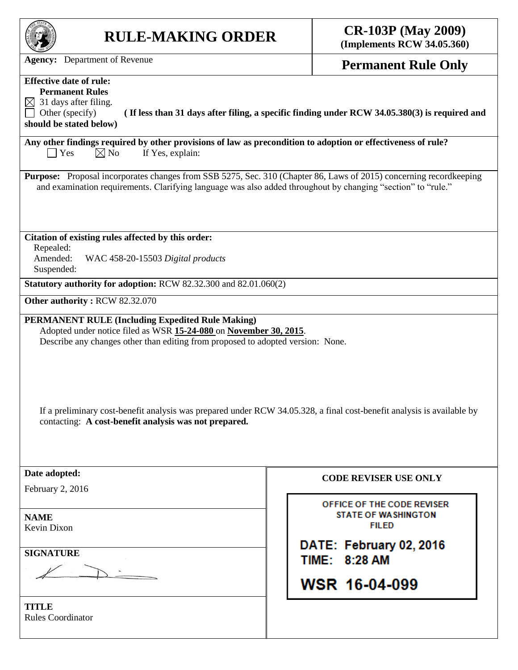| <b>Agency:</b> Department of Revenue<br><b>Permanent Rule Only</b><br><b>Effective date of rule:</b><br><b>Permanent Rules</b><br>$\boxtimes$ 31 days after filing.<br>Other (specify)<br>(If less than 31 days after filing, a specific finding under RCW 34.05.380(3) is required and<br>should be stated below)<br>Any other findings required by other provisions of law as precondition to adoption or effectiveness of rule?<br>$\bigcap$ Yes<br>$\boxtimes$ No<br>If Yes, explain:<br><b>Purpose:</b> Proposal incorporates changes from SSB 5275, Sec. 310 (Chapter 86, Laws of 2015) concerning recordkeeping<br>and examination requirements. Clarifying language was also added throughout by changing "section" to "rule."<br>Citation of existing rules affected by this order:<br>Repealed:<br>Amended:<br>WAC 458-20-15503 Digital products<br>Suspended:<br>Statutory authority for adoption: RCW 82.32.300 and 82.01.060(2)<br>Other authority: RCW 82.32.070<br><b>PERMANENT RULE (Including Expedited Rule Making)</b><br>Adopted under notice filed as WSR 15-24-080 on November 30, 2015.<br>Describe any changes other than editing from proposed to adopted version: None.<br>If a preliminary cost-benefit analysis was prepared under RCW 34.05.328, a final cost-benefit analysis is available by<br>contacting: A cost-benefit analysis was not prepared.<br>Date adopted:<br><b>CODE REVISER USE ONLY</b><br>February 2, 2016<br>OFFICE OF THE CODE REVISER<br><b>STATE OF WASHINGTON</b><br><b>NAME</b><br><b>FILED</b><br>Kevin Dixon<br>DATE: February 02, 2016<br><b>SIGNATURE</b><br>TIME: 8:28 AM<br>WSR 16-04-099 | <b>RULE-MAKING ORDER</b> | <b>CR-103P</b> (May 2009)<br>(Implements RCW 34.05.360) |  |
|------------------------------------------------------------------------------------------------------------------------------------------------------------------------------------------------------------------------------------------------------------------------------------------------------------------------------------------------------------------------------------------------------------------------------------------------------------------------------------------------------------------------------------------------------------------------------------------------------------------------------------------------------------------------------------------------------------------------------------------------------------------------------------------------------------------------------------------------------------------------------------------------------------------------------------------------------------------------------------------------------------------------------------------------------------------------------------------------------------------------------------------------------------------------------------------------------------------------------------------------------------------------------------------------------------------------------------------------------------------------------------------------------------------------------------------------------------------------------------------------------------------------------------------------------------------------------------------------------------------------------------------------------|--------------------------|---------------------------------------------------------|--|
|                                                                                                                                                                                                                                                                                                                                                                                                                                                                                                                                                                                                                                                                                                                                                                                                                                                                                                                                                                                                                                                                                                                                                                                                                                                                                                                                                                                                                                                                                                                                                                                                                                                      |                          |                                                         |  |
|                                                                                                                                                                                                                                                                                                                                                                                                                                                                                                                                                                                                                                                                                                                                                                                                                                                                                                                                                                                                                                                                                                                                                                                                                                                                                                                                                                                                                                                                                                                                                                                                                                                      |                          |                                                         |  |
|                                                                                                                                                                                                                                                                                                                                                                                                                                                                                                                                                                                                                                                                                                                                                                                                                                                                                                                                                                                                                                                                                                                                                                                                                                                                                                                                                                                                                                                                                                                                                                                                                                                      |                          |                                                         |  |
|                                                                                                                                                                                                                                                                                                                                                                                                                                                                                                                                                                                                                                                                                                                                                                                                                                                                                                                                                                                                                                                                                                                                                                                                                                                                                                                                                                                                                                                                                                                                                                                                                                                      |                          |                                                         |  |
|                                                                                                                                                                                                                                                                                                                                                                                                                                                                                                                                                                                                                                                                                                                                                                                                                                                                                                                                                                                                                                                                                                                                                                                                                                                                                                                                                                                                                                                                                                                                                                                                                                                      |                          |                                                         |  |
|                                                                                                                                                                                                                                                                                                                                                                                                                                                                                                                                                                                                                                                                                                                                                                                                                                                                                                                                                                                                                                                                                                                                                                                                                                                                                                                                                                                                                                                                                                                                                                                                                                                      |                          |                                                         |  |
|                                                                                                                                                                                                                                                                                                                                                                                                                                                                                                                                                                                                                                                                                                                                                                                                                                                                                                                                                                                                                                                                                                                                                                                                                                                                                                                                                                                                                                                                                                                                                                                                                                                      |                          |                                                         |  |
|                                                                                                                                                                                                                                                                                                                                                                                                                                                                                                                                                                                                                                                                                                                                                                                                                                                                                                                                                                                                                                                                                                                                                                                                                                                                                                                                                                                                                                                                                                                                                                                                                                                      |                          |                                                         |  |
|                                                                                                                                                                                                                                                                                                                                                                                                                                                                                                                                                                                                                                                                                                                                                                                                                                                                                                                                                                                                                                                                                                                                                                                                                                                                                                                                                                                                                                                                                                                                                                                                                                                      |                          |                                                         |  |
|                                                                                                                                                                                                                                                                                                                                                                                                                                                                                                                                                                                                                                                                                                                                                                                                                                                                                                                                                                                                                                                                                                                                                                                                                                                                                                                                                                                                                                                                                                                                                                                                                                                      |                          |                                                         |  |
|                                                                                                                                                                                                                                                                                                                                                                                                                                                                                                                                                                                                                                                                                                                                                                                                                                                                                                                                                                                                                                                                                                                                                                                                                                                                                                                                                                                                                                                                                                                                                                                                                                                      |                          |                                                         |  |
|                                                                                                                                                                                                                                                                                                                                                                                                                                                                                                                                                                                                                                                                                                                                                                                                                                                                                                                                                                                                                                                                                                                                                                                                                                                                                                                                                                                                                                                                                                                                                                                                                                                      |                          |                                                         |  |
|                                                                                                                                                                                                                                                                                                                                                                                                                                                                                                                                                                                                                                                                                                                                                                                                                                                                                                                                                                                                                                                                                                                                                                                                                                                                                                                                                                                                                                                                                                                                                                                                                                                      |                          |                                                         |  |
| TITLE<br><b>Rules Coordinator</b>                                                                                                                                                                                                                                                                                                                                                                                                                                                                                                                                                                                                                                                                                                                                                                                                                                                                                                                                                                                                                                                                                                                                                                                                                                                                                                                                                                                                                                                                                                                                                                                                                    |                          |                                                         |  |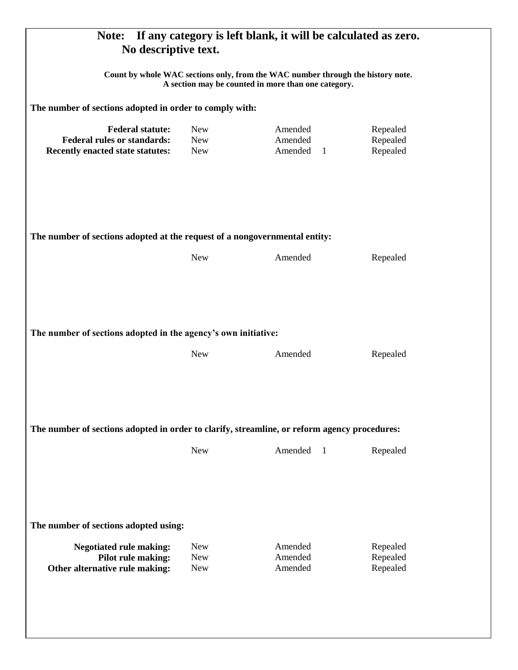| If any category is left blank, it will be calculated as zero.<br>Note:<br>No descriptive text.                                                                                                    |                          |                           |                      |  |  |
|---------------------------------------------------------------------------------------------------------------------------------------------------------------------------------------------------|--------------------------|---------------------------|----------------------|--|--|
| Count by whole WAC sections only, from the WAC number through the history note.<br>A section may be counted in more than one category.<br>The number of sections adopted in order to comply with: |                          |                           |                      |  |  |
|                                                                                                                                                                                                   |                          |                           |                      |  |  |
| The number of sections adopted at the request of a nongovernmental entity:<br>Amended<br><b>New</b><br>Repealed                                                                                   |                          |                           |                      |  |  |
|                                                                                                                                                                                                   |                          |                           |                      |  |  |
| The number of sections adopted in the agency's own initiative:                                                                                                                                    |                          |                           |                      |  |  |
|                                                                                                                                                                                                   | <b>New</b>               | Amended                   | Repealed             |  |  |
| The number of sections adopted in order to clarify, streamline, or reform agency procedures:                                                                                                      |                          |                           |                      |  |  |
|                                                                                                                                                                                                   | <b>New</b>               | Amended<br>$\overline{1}$ | Repealed             |  |  |
| The number of sections adopted using:                                                                                                                                                             |                          |                           |                      |  |  |
| <b>Negotiated rule making:</b>                                                                                                                                                                    | <b>New</b>               | Amended                   | Repealed             |  |  |
| Pilot rule making:<br>Other alternative rule making:                                                                                                                                              | <b>New</b><br><b>New</b> | Amended<br>Amended        | Repealed<br>Repealed |  |  |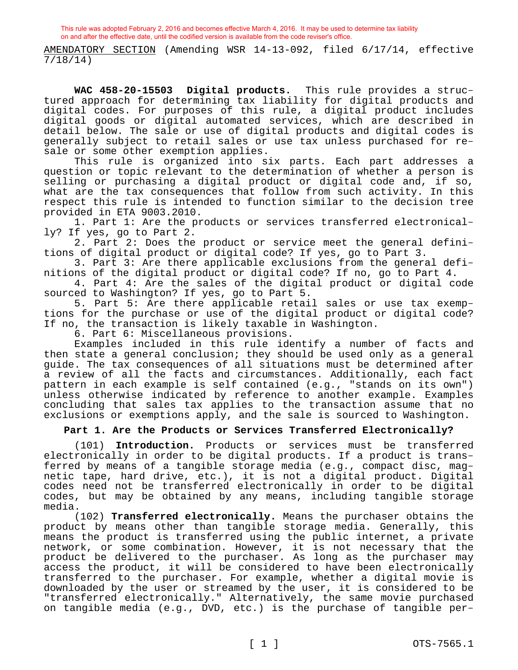AMENDATORY SECTION (Amending WSR 14-13-092, filed 6/17/14, effective 7/18/14)

**WAC 458-20-15503 Digital products.** This rule provides a structured approach for determining tax liability for digital products and digital codes. For purposes of this rule, a digital product includes digital goods or digital automated services, which are described in detail below. The sale or use of digital products and digital codes is generally subject to retail sales or use tax unless purchased for resale or some other exemption applies.

This rule is organized into six parts. Each part addresses a question or topic relevant to the determination of whether a person is selling or purchasing a digital product or digital code and, if so, what are the tax consequences that follow from such activity. In this respect this rule is intended to function similar to the decision tree provided in ETA 9003.2010.

1. Part 1: Are the products or services transferred electronically? If yes, go to Part 2.

2. Part 2: Does the product or service meet the general definitions of digital product or digital code? If yes, go to Part 3.

3. Part 3: Are there applicable exclusions from the general definitions of the digital product or digital code? If no, go to Part 4.

4. Part 4: Are the sales of the digital product or digital code sourced to Washington? If yes, go to Part 5.

5. Part 5: Are there applicable retail sales or use tax exemptions for the purchase or use of the digital product or digital code? If no, the transaction is likely taxable in Washington.

6. Part 6: Miscellaneous provisions.

Examples included in this rule identify a number of facts and then state a general conclusion; they should be used only as a general guide. The tax consequences of all situations must be determined after a review of all the facts and circumstances. Additionally, each fact pattern in each example is self contained (e.g., "stands on its own") unless otherwise indicated by reference to another example. Examples concluding that sales tax applies to the transaction assume that no exclusions or exemptions apply, and the sale is sourced to Washington.

### **Part 1. Are the Products or Services Transferred Electronically?**

(101) **Introduction.** Products or services must be transferred electronically in order to be digital products. If a product is transferred by means of a tangible storage media (e.g., compact disc, magnetic tape, hard drive, etc.), it is not a digital product. Digital codes need not be transferred electronically in order to be digital codes, but may be obtained by any means, including tangible storage media.

(102) **Transferred electronically.** Means the purchaser obtains the product by means other than tangible storage media. Generally, this means the product is transferred using the public internet, a private network, or some combination. However, it is not necessary that the product be delivered to the purchaser. As long as the purchaser may access the product, it will be considered to have been electronically transferred to the purchaser. For example, whether a digital movie is downloaded by the user or streamed by the user, it is considered to be "transferred electronically." Alternatively, the same movie purchased on tangible media (e.g., DVD, etc.) is the purchase of tangible per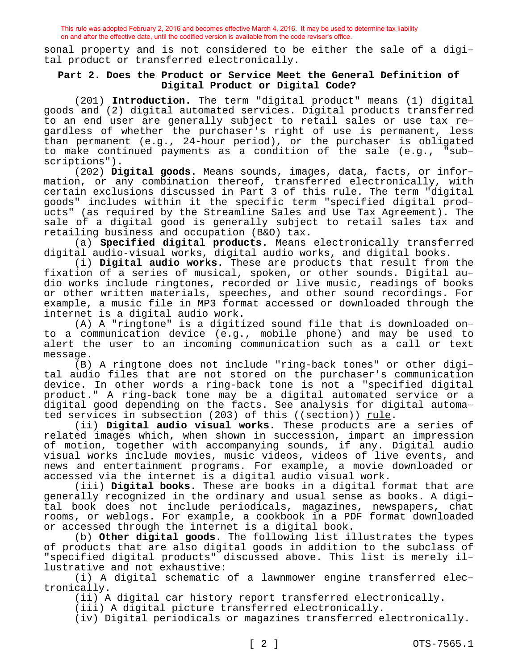sonal property and is not considered to be either the sale of a digital product or transferred electronically.

# **Part 2. Does the Product or Service Meet the General Definition of Digital Product or Digital Code?**

(201) **Introduction.** The term "digital product" means (1) digital goods and (2) digital automated services. Digital products transferred to an end user are generally subject to retail sales or use tax regardless of whether the purchaser's right of use is permanent, less than permanent (e.g., 24-hour period), or the purchaser is obligated to make continued payments as a condition of the sale (e.g., "subscriptions").

(202) **Digital goods.** Means sounds, images, data, facts, or information, or any combination thereof, transferred electronically, with certain exclusions discussed in Part 3 of this rule. The term "digital goods" includes within it the specific term "specified digital products" (as required by the Streamline Sales and Use Tax Agreement). The sale of a digital good is generally subject to retail sales tax and retailing business and occupation (B&O) tax.

(a) **Specified digital products.** Means electronically transferred digital audio-visual works, digital audio works, and digital books.

(i) **Digital audio works.** These are products that result from the fixation of a series of musical, spoken, or other sounds. Digital audio works include ringtones, recorded or live music, readings of books or other written materials, speeches, and other sound recordings. For example, a music file in MP3 format accessed or downloaded through the internet is a digital audio work.

(A) A "ringtone" is a digitized sound file that is downloaded onto a communication device (e.g., mobile phone) and may be used to alert the user to an incoming communication such as a call or text message.

(B) A ringtone does not include "ring-back tones" or other digital audio files that are not stored on the purchaser's communication device. In other words a ring-back tone is not a "specified digital product." A ring-back tone may be a digital automated service or a digital good depending on the facts. See analysis for digital automated services in subsection (203) of this ((section)) rule.

(ii) **Digital audio visual works.** These products are a series of related images which, when shown in succession, impart an impression of motion, together with accompanying sounds, if any. Digital audio visual works include movies, music videos, videos of live events, and news and entertainment programs. For example, a movie downloaded or accessed via the internet is a digital audio visual work.

(iii) **Digital books.** These are books in a digital format that are generally recognized in the ordinary and usual sense as books. A digital book does not include periodicals, magazines, newspapers, chat rooms, or weblogs. For example, a cookbook in a PDF format downloaded or accessed through the internet is a digital book.

(b) **Other digital goods.** The following list illustrates the types of products that are also digital goods in addition to the subclass of "specified digital products" discussed above. This list is merely illustrative and not exhaustive:

(i) A digital schematic of a lawnmower engine transferred electronically.

(ii) A digital car history report transferred electronically.

(iii) A digital picture transferred electronically.

(iv) Digital periodicals or magazines transferred electronically.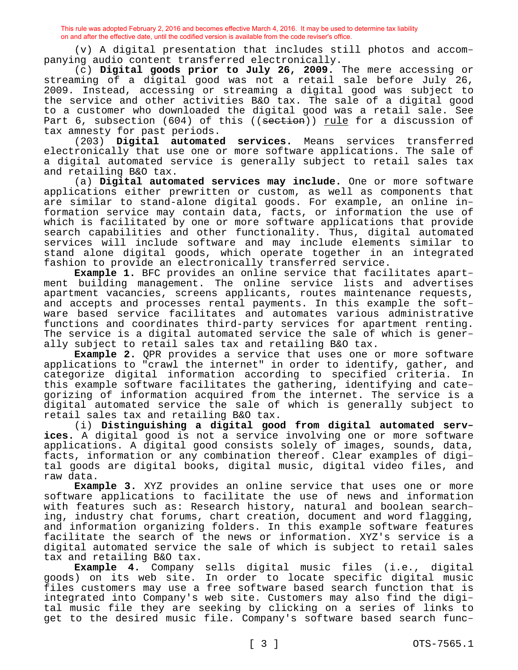(v) A digital presentation that includes still photos and accompanying audio content transferred electronically.

(c) **Digital goods prior to July 26, 2009.** The mere accessing or streaming of a digital good was not a retail sale before July 26, 2009. Instead, accessing or streaming a digital good was subject to the service and other activities B&O tax. The sale of a digital good to a customer who downloaded the digital good was a retail sale. See Part 6, subsection (604) of this ((section)) rule for a discussion of tax amnesty for past periods.

(203) **Digital automated services.** Means services transferred electronically that use one or more software applications. The sale of a digital automated service is generally subject to retail sales tax and retailing B&O tax.

(a) **Digital automated services may include.** One or more software applications either prewritten or custom, as well as components that are similar to stand-alone digital goods. For example, an online information service may contain data, facts, or information the use of which is facilitated by one or more software applications that provide search capabilities and other functionality. Thus, digital automated services will include software and may include elements similar to stand alone digital goods, which operate together in an integrated fashion to provide an electronically transferred service.

**Example 1.** BFC provides an online service that facilitates apartment building management. The online service lists and advertises apartment vacancies, screens applicants, routes maintenance requests, and accepts and processes rental payments. In this example the software based service facilitates and automates various administrative functions and coordinates third-party services for apartment renting. The service is a digital automated service the sale of which is generally subject to retail sales tax and retailing B&O tax.

**Example 2.** QPR provides a service that uses one or more software applications to "crawl the internet" in order to identify, gather, and categorize digital information according to specified criteria. In this example software facilitates the gathering, identifying and categorizing of information acquired from the internet. The service is a digital automated service the sale of which is generally subject to retail sales tax and retailing B&O tax.

(i) **Distinguishing a digital good from digital automated services.** A digital good is not a service involving one or more software applications. A digital good consists solely of images, sounds, data, facts, information or any combination thereof. Clear examples of digital goods are digital books, digital music, digital video files, and raw data.

**Example 3.** XYZ provides an online service that uses one or more software applications to facilitate the use of news and information with features such as: Research history, natural and boolean searching, industry chat forums, chart creation, document and word flagging, and information organizing folders. In this example software features facilitate the search of the news or information. XYZ's service is a digital automated service the sale of which is subject to retail sales tax and retailing B&O tax.

**Example 4.** Company sells digital music files (i.e., digital goods) on its web site. In order to locate specific digital music files customers may use a free software based search function that is integrated into Company's web site. Customers may also find the digital music file they are seeking by clicking on a series of links to get to the desired music file. Company's software based search func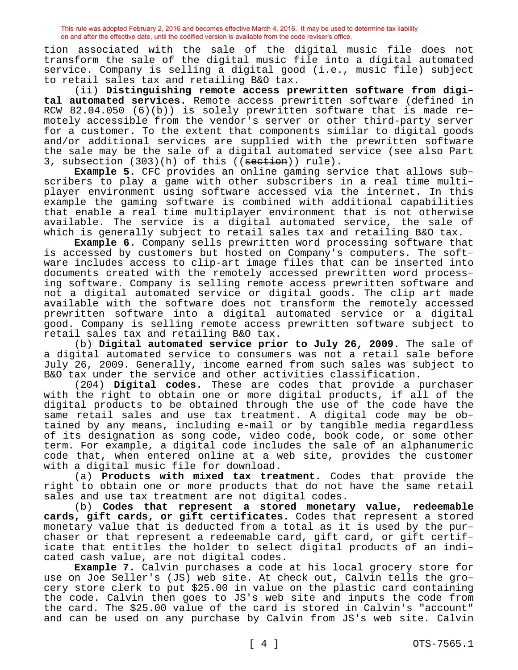tion associated with the sale of the digital music file does not transform the sale of the digital music file into a digital automated service. Company is selling a digital good (i.e., music file) subject to retail sales tax and retailing B&O tax.

(ii) **Distinguishing remote access prewritten software from digital automated services.** Remote access prewritten software (defined in RCW 82.04.050 (6)(b)) is solely prewritten software that is made remotely accessible from the vendor's server or other third-party server for a customer. To the extent that components similar to digital goods and/or additional services are supplied with the prewritten software the sale may be the sale of a digital automated service (see also Part 3, subsection (303)(h) of this ((section)) rule).

**Example 5.** CFC provides an online gaming service that allows subscribers to play a game with other subscribers in a real time multiplayer environment using software accessed via the internet. In this example the gaming software is combined with additional capabilities that enable a real time multiplayer environment that is not otherwise available. The service is a digital automated service, the sale of which is generally subject to retail sales tax and retailing B&O tax.

**Example 6.** Company sells prewritten word processing software that is accessed by customers but hosted on Company's computers. The software includes access to clip-art image files that can be inserted into documents created with the remotely accessed prewritten word processing software. Company is selling remote access prewritten software and not a digital automated service or digital goods. The clip art made available with the software does not transform the remotely accessed prewritten software into a digital automated service or a digital good. Company is selling remote access prewritten software subject to retail sales tax and retailing B&O tax.

(b) **Digital automated service prior to July 26, 2009.** The sale of a digital automated service to consumers was not a retail sale before July 26, 2009. Generally, income earned from such sales was subject to B&O tax under the service and other activities classification.

(204) **Digital codes.** These are codes that provide a purchaser with the right to obtain one or more digital products, if all of the digital products to be obtained through the use of the code have the same retail sales and use tax treatment. A digital code may be obtained by any means, including e-mail or by tangible media regardless of its designation as song code, video code, book code, or some other term. For example, a digital code includes the sale of an alphanumeric code that, when entered online at a web site, provides the customer with a digital music file for download.

(a) **Products with mixed tax treatment.** Codes that provide the right to obtain one or more products that do not have the same retail sales and use tax treatment are not digital codes.

(b) **Codes that represent a stored monetary value, redeemable cards, gift cards, or gift certificates.** Codes that represent a stored monetary value that is deducted from a total as it is used by the purchaser or that represent a redeemable card, gift card, or gift certificate that entitles the holder to select digital products of an indicated cash value, are not digital codes.

**Example 7.** Calvin purchases a code at his local grocery store for use on Joe Seller's (JS) web site. At check out, Calvin tells the grocery store clerk to put \$25.00 in value on the plastic card containing the code. Calvin then goes to JS's web site and inputs the code from the card. The \$25.00 value of the card is stored in Calvin's "account" and can be used on any purchase by Calvin from JS's web site. Calvin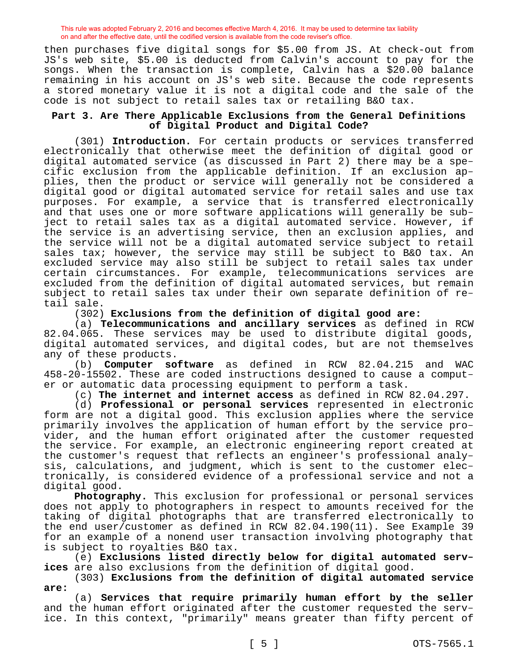then purchases five digital songs for \$5.00 from JS. At check-out from JS's web site, \$5.00 is deducted from Calvin's account to pay for the songs. When the transaction is complete, Calvin has a \$20.00 balance remaining in his account on JS's web site. Because the code represents a stored monetary value it is not a digital code and the sale of the code is not subject to retail sales tax or retailing B&O tax.

### **Part 3. Are There Applicable Exclusions from the General Definitions of Digital Product and Digital Code?**

(301) **Introduction.** For certain products or services transferred electronically that otherwise meet the definition of digital good or digital automated service (as discussed in Part 2) there may be a specific exclusion from the applicable definition. If an exclusion applies, then the product or service will generally not be considered a digital good or digital automated service for retail sales and use tax purposes. For example, a service that is transferred electronically and that uses one or more software applications will generally be subject to retail sales tax as a digital automated service. However, if the service is an advertising service, then an exclusion applies, and the service will not be a digital automated service subject to retail sales tax; however, the service may still be subject to B&O tax. An excluded service may also still be subject to retail sales tax under certain circumstances. For example, telecommunications services are excluded from the definition of digital automated services, but remain subject to retail sales tax under their own separate definition of retail sale.

(302) **Exclusions from the definition of digital good are:**

(a) **Telecommunications and ancillary services** as defined in RCW 82.04.065. These services may be used to distribute digital goods, digital automated services, and digital codes, but are not themselves any of these products.

(b) **Computer software** as defined in RCW 82.04.215 and WAC 458-20-15502. These are coded instructions designed to cause a computer or automatic data processing equipment to perform a task.

(c) **The internet and internet access** as defined in RCW 82.04.297.

(d) **Professional or personal services** represented in electronic form are not a digital good. This exclusion applies where the service primarily involves the application of human effort by the service provider, and the human effort originated after the customer requested the service. For example, an electronic engineering report created at the customer's request that reflects an engineer's professional analysis, calculations, and judgment, which is sent to the customer electronically, is considered evidence of a professional service and not a digital good.

**Photography.** This exclusion for professional or personal services does not apply to photographers in respect to amounts received for the taking of digital photographs that are transferred electronically to the end user/customer as defined in RCW 82.04.190(11). See Example 39 for an example of a nonend user transaction involving photography that is subject to royalties B&O tax.

(e) **Exclusions listed directly below for digital automated services** are also exclusions from the definition of digital good.

(303) **Exclusions from the definition of digital automated service are:**

(a) **Services that require primarily human effort by the seller**  and the human effort originated after the customer requested the service. In this context, "primarily" means greater than fifty percent of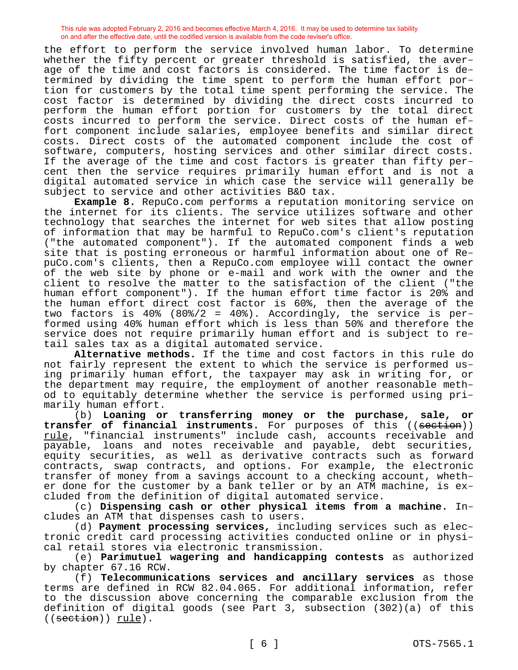the effort to perform the service involved human labor. To determine whether the fifty percent or greater threshold is satisfied, the average of the time and cost factors is considered. The time factor is determined by dividing the time spent to perform the human effort portion for customers by the total time spent performing the service. The cost factor is determined by dividing the direct costs incurred to perform the human effort portion for customers by the total direct costs incurred to perform the service. Direct costs of the human effort component include salaries, employee benefits and similar direct costs. Direct costs of the automated component include the cost of software, computers, hosting services and other similar direct costs. If the average of the time and cost factors is greater than fifty percent then the service requires primarily human effort and is not a digital automated service in which case the service will generally be subject to service and other activities B&O tax.

**Example 8.** RepuCo.com performs a reputation monitoring service on the internet for its clients. The service utilizes software and other technology that searches the internet for web sites that allow posting of information that may be harmful to RepuCo.com's client's reputation ("the automated component"). If the automated component finds a web site that is posting erroneous or harmful information about one of RepuCo.com's clients, then a RepuCo.com employee will contact the owner of the web site by phone or e-mail and work with the owner and the client to resolve the matter to the satisfaction of the client ("the human effort component"). If the human effort time factor is 20% and the human effort direct cost factor is 60%, then the average of the two factors is 40% (80%/2 = 40%). Accordingly, the service is performed using 40% human effort which is less than 50% and therefore the service does not require primarily human effort and is subject to retail sales tax as a digital automated service.

**Alternative methods.** If the time and cost factors in this rule do not fairly represent the extent to which the service is performed using primarily human effort, the taxpayer may ask in writing for, or the department may require, the employment of another reasonable method to equitably determine whether the service is performed using primarily human effort.

(b) **Loaning or transferring money or the purchase, sale, or transfer of financial instruments.** For purposes of this ((section)) rule, "financial instruments" include cash, accounts receivable and payable, loans and notes receivable and payable, debt securities, equity securities, as well as derivative contracts such as forward contracts, swap contracts, and options. For example, the electronic transfer of money from a savings account to a checking account, whether done for the customer by a bank teller or by an ATM machine, is excluded from the definition of digital automated service.

(c) **Dispensing cash or other physical items from a machine.** Includes an ATM that dispenses cash to users.

(d) **Payment processing services,** including services such as electronic credit card processing activities conducted online or in physical retail stores via electronic transmission.

(e) **Parimutuel wagering and handicapping contests** as authorized by chapter 67.16 RCW.

(f) **Telecommunications services and ancillary services** as those terms are defined in RCW 82.04.065. For additional information, refer to the discussion above concerning the comparable exclusion from the definition of digital goods (see Part 3, subsection (302)(a) of this ((section)) rule).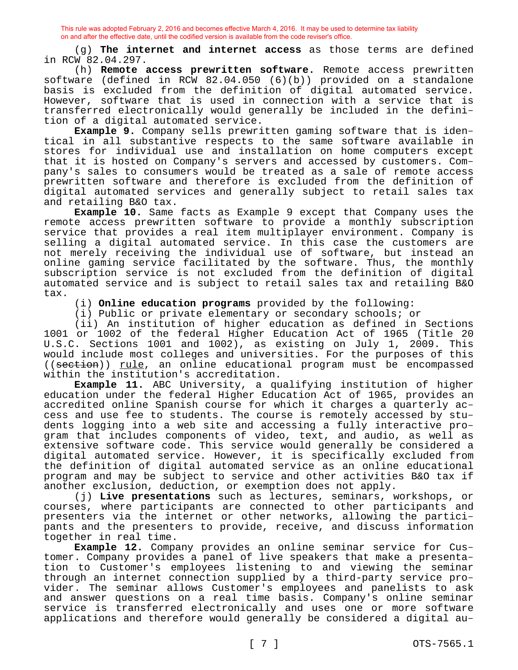(g) **The internet and internet access** as those terms are defined in RCW 82.04.297.

(h) **Remote access prewritten software.** Remote access prewritten software (defined in RCW 82.04.050 (6)(b)) provided on a standalone basis is excluded from the definition of digital automated service. However, software that is used in connection with a service that is transferred electronically would generally be included in the definition of a digital automated service.

**Example 9.** Company sells prewritten gaming software that is identical in all substantive respects to the same software available in stores for individual use and installation on home computers except that it is hosted on Company's servers and accessed by customers. Company's sales to consumers would be treated as a sale of remote access prewritten software and therefore is excluded from the definition of digital automated services and generally subject to retail sales tax and retailing B&O tax.

**Example 10.** Same facts as Example 9 except that Company uses the remote access prewritten software to provide a monthly subscription service that provides a real item multiplayer environment. Company is selling a digital automated service. In this case the customers are not merely receiving the individual use of software, but instead an online gaming service facilitated by the software. Thus, the monthly subscription service is not excluded from the definition of digital automated service and is subject to retail sales tax and retailing B&O tax.

(i) **Online education programs** provided by the following:

(i) Public or private elementary or secondary schools; or

(ii) An institution of higher education as defined in Sections 1001 or 1002 of the federal Higher Education Act of 1965 (Title 20 U.S.C. Sections 1001 and 1002), as existing on July 1, 2009. This would include most colleges and universities. For the purposes of this ((section)) rule, an online educational program must be encompassed within the institution's accreditation.

**Example 11.** ABC University, a qualifying institution of higher education under the federal Higher Education Act of 1965, provides an accredited online Spanish course for which it charges a quarterly access and use fee to students. The course is remotely accessed by students logging into a web site and accessing a fully interactive program that includes components of video, text, and audio, as well as extensive software code. This service would generally be considered a digital automated service. However, it is specifically excluded from the definition of digital automated service as an online educational program and may be subject to service and other activities B&O tax if another exclusion, deduction, or exemption does not apply.

(j) **Live presentations** such as lectures, seminars, workshops, or courses, where participants are connected to other participants and presenters via the internet or other networks, allowing the participants and the presenters to provide, receive, and discuss information together in real time.

**Example 12.** Company provides an online seminar service for Customer. Company provides a panel of live speakers that make a presentation to Customer's employees listening to and viewing the seminar through an internet connection supplied by a third-party service provider. The seminar allows Customer's employees and panelists to ask and answer questions on a real time basis. Company's online seminar service is transferred electronically and uses one or more software applications and therefore would generally be considered a digital au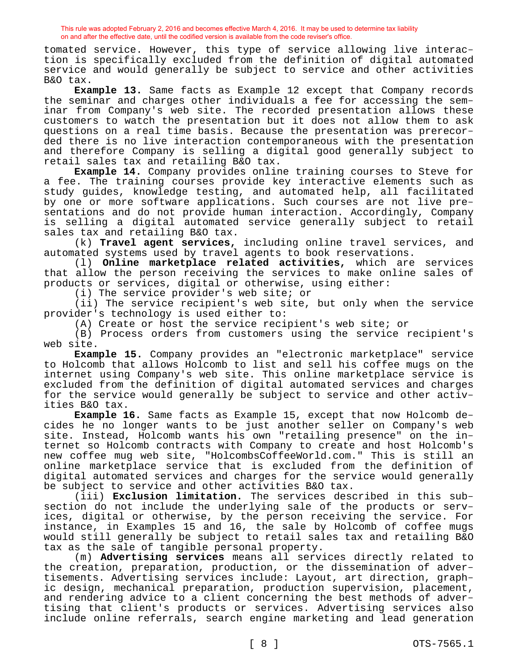tomated service. However, this type of service allowing live interaction is specifically excluded from the definition of digital automated service and would generally be subject to service and other activities B&O tax.

**Example 13.** Same facts as Example 12 except that Company records the seminar and charges other individuals a fee for accessing the seminar from Company's web site. The recorded presentation allows these customers to watch the presentation but it does not allow them to ask questions on a real time basis. Because the presentation was prerecorded there is no live interaction contemporaneous with the presentation and therefore Company is selling a digital good generally subject to retail sales tax and retailing B&O tax.

**Example 14.** Company provides online training courses to Steve for a fee. The training courses provide key interactive elements such as study guides, knowledge testing, and automated help, all facilitated by one or more software applications. Such courses are not live presentations and do not provide human interaction. Accordingly, Company is selling a digital automated service generally subject to retail sales tax and retailing B&O tax.

(k) **Travel agent services,** including online travel services, and automated systems used by travel agents to book reservations.

(l) **Online marketplace related activities,** which are services that allow the person receiving the services to make online sales of products or services, digital or otherwise, using either:

(i) The service provider's web site; or

(ii) The service recipient's web site, but only when the service provider's technology is used either to:

(A) Create or host the service recipient's web site; or

(B) Process orders from customers using the service recipient's web site.

**Example 15.** Company provides an "electronic marketplace" service to Holcomb that allows Holcomb to list and sell his coffee mugs on the internet using Company's web site. This online marketplace service is excluded from the definition of digital automated services and charges for the service would generally be subject to service and other activities B&O tax.

**Example 16.** Same facts as Example 15, except that now Holcomb decides he no longer wants to be just another seller on Company's web site. Instead, Holcomb wants his own "retailing presence" on the internet so Holcomb contracts with Company to create and host Holcomb's new coffee mug web site, "HolcombsCoffeeWorld.com." This is still an online marketplace service that is excluded from the definition of digital automated services and charges for the service would generally be subject to service and other activities B&O tax.

(iii) **Exclusion limitation.** The services described in this subsection do not include the underlying sale of the products or services, digital or otherwise, by the person receiving the service. For instance, in Examples 15 and 16, the sale by Holcomb of coffee mugs would still generally be subject to retail sales tax and retailing B&O tax as the sale of tangible personal property.

(m) **Advertising services** means all services directly related to the creation, preparation, production, or the dissemination of advertisements. Advertising services include: Layout, art direction, graphic design, mechanical preparation, production supervision, placement, and rendering advice to a client concerning the best methods of advertising that client's products or services. Advertising services also include online referrals, search engine marketing and lead generation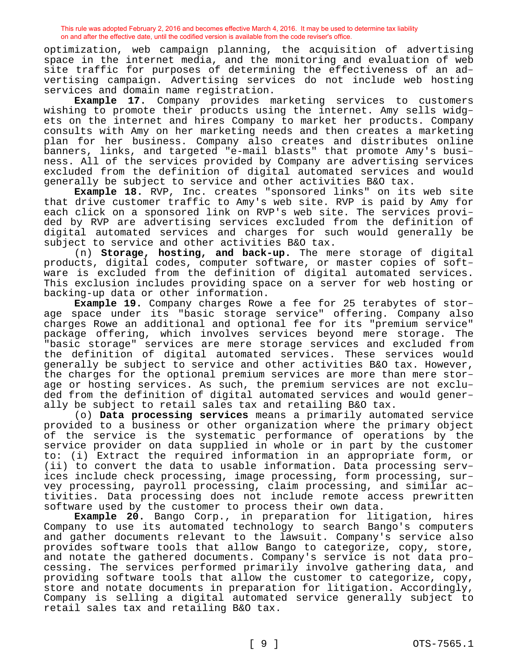optimization, web campaign planning, the acquisition of advertising space in the internet media, and the monitoring and evaluation of web site traffic for purposes of determining the effectiveness of an advertising campaign. Advertising services do not include web hosting services and domain name registration.

**Example 17.** Company provides marketing services to customers wishing to promote their products using the internet. Amy sells widgets on the internet and hires Company to market her products. Company consults with Amy on her marketing needs and then creates a marketing plan for her business. Company also creates and distributes online banners, links, and targeted "e-mail blasts" that promote Amy's business. All of the services provided by Company are advertising services excluded from the definition of digital automated services and would generally be subject to service and other activities B&O tax.

**Example 18.** RVP, Inc. creates "sponsored links" on its web site that drive customer traffic to Amy's web site. RVP is paid by Amy for each click on a sponsored link on RVP's web site. The services provided by RVP are advertising services excluded from the definition of digital automated services and charges for such would generally be subject to service and other activities B&O tax.

(n) **Storage, hosting, and back-up.** The mere storage of digital products, digital codes, computer software, or master copies of software is excluded from the definition of digital automated services. This exclusion includes providing space on a server for web hosting or backing-up data or other information.

**Example 19.** Company charges Rowe a fee for 25 terabytes of storage space under its "basic storage service" offering. Company also charges Rowe an additional and optional fee for its "premium service" package offering, which involves services beyond mere storage. The "basic storage" services are mere storage services and excluded from the definition of digital automated services. These services would generally be subject to service and other activities B&O tax. However, the charges for the optional premium services are more than mere storage or hosting services. As such, the premium services are not excluded from the definition of digital automated services and would generally be subject to retail sales tax and retailing B&O tax.

(o) **Data processing services** means a primarily automated service provided to a business or other organization where the primary object of the service is the systematic performance of operations by the service provider on data supplied in whole or in part by the customer to: (i) Extract the required information in an appropriate form, or (ii) to convert the data to usable information. Data processing services include check processing, image processing, form processing, survey processing, payroll processing, claim processing, and similar activities. Data processing does not include remote access prewritten software used by the customer to process their own data.

**Example 20.** Bango Corp., in preparation for litigation, hires Company to use its automated technology to search Bango's computers and gather documents relevant to the lawsuit. Company's service also provides software tools that allow Bango to categorize, copy, store, and notate the gathered documents. Company's service is not data processing. The services performed primarily involve gathering data, and providing software tools that allow the customer to categorize, copy, store and notate documents in preparation for litigation. Accordingly, Company is selling a digital automated service generally subject to retail sales tax and retailing B&O tax.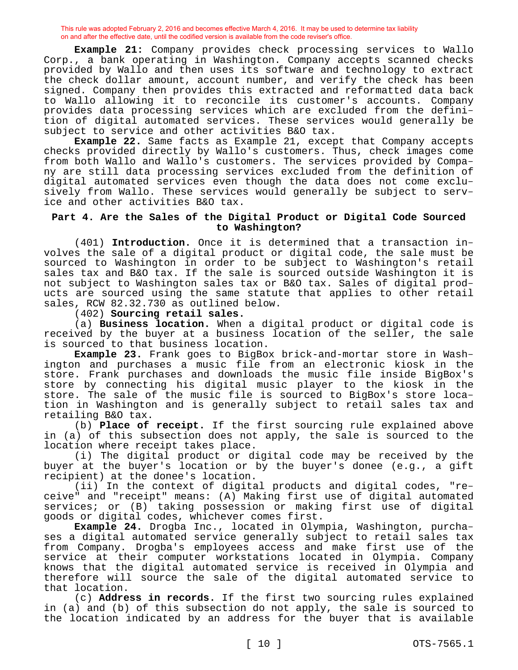**Example 21:** Company provides check processing services to Wallo Corp., a bank operating in Washington. Company accepts scanned checks provided by Wallo and then uses its software and technology to extract the check dollar amount, account number, and verify the check has been signed. Company then provides this extracted and reformatted data back to Wallo allowing it to reconcile its customer's accounts. Company provides data processing services which are excluded from the definition of digital automated services. These services would generally be subject to service and other activities B&O tax.

**Example 22.** Same facts as Example 21, except that Company accepts checks provided directly by Wallo's customers. Thus, check images come from both Wallo and Wallo's customers. The services provided by Company are still data processing services excluded from the definition of digital automated services even though the data does not come exclusively from Wallo. These services would generally be subject to service and other activities B&O tax.

### **Part 4. Are the Sales of the Digital Product or Digital Code Sourced to Washington?**

(401) **Introduction.** Once it is determined that a transaction involves the sale of a digital product or digital code, the sale must be sourced to Washington in order to be subject to Washington's retail sales tax and B&O tax. If the sale is sourced outside Washington it is not subject to Washington sales tax or B&O tax. Sales of digital products are sourced using the same statute that applies to other retail sales, RCW 82.32.730 as outlined below.

(402) **Sourcing retail sales.**

(a) **Business location.** When a digital product or digital code is received by the buyer at a business location of the seller, the sale is sourced to that business location.

**Example 23.** Frank goes to BigBox brick-and-mortar store in Washington and purchases a music file from an electronic kiosk in the store. Frank purchases and downloads the music file inside BigBox's store by connecting his digital music player to the kiosk in the store. The sale of the music file is sourced to BigBox's store location in Washington and is generally subject to retail sales tax and retailing B&O tax.

(b) **Place of receipt.** If the first sourcing rule explained above in (a) of this subsection does not apply, the sale is sourced to the location where receipt takes place.

(i) The digital product or digital code may be received by the buyer at the buyer's location or by the buyer's donee (e.g., a gift recipient) at the donee's location.

(ii) In the context of digital products and digital codes, "receive" and "receipt" means: (A) Making first use of digital automated services; or (B) taking possession or making first use of digital goods or digital codes, whichever comes first.

**Example 24.** Drogba Inc., located in Olympia, Washington, purchases a digital automated service generally subject to retail sales tax from Company. Drogba's employees access and make first use of the service at their computer workstations located in Olympia. Company knows that the digital automated service is received in Olympia and therefore will source the sale of the digital automated service to that location.

(c) **Address in records.** If the first two sourcing rules explained in (a) and (b) of this subsection do not apply, the sale is sourced to the location indicated by an address for the buyer that is available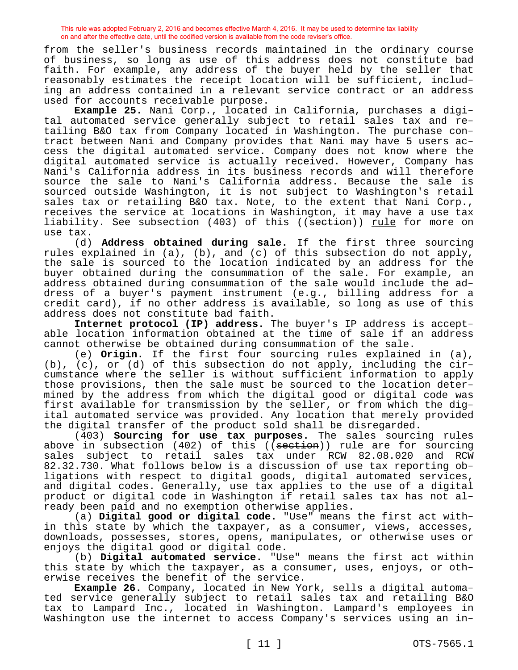from the seller's business records maintained in the ordinary course of business, so long as use of this address does not constitute bad faith. For example, any address of the buyer held by the seller that reasonably estimates the receipt location will be sufficient, including an address contained in a relevant service contract or an address used for accounts receivable purpose.

**Example 25.** Nani Corp., located in California, purchases a digital automated service generally subject to retail sales tax and retailing B&O tax from Company located in Washington. The purchase contract between Nani and Company provides that Nani may have 5 users access the digital automated service. Company does not know where the digital automated service is actually received. However, Company has Nani's California address in its business records and will therefore source the sale to Nani's California address. Because the sale is sourced outside Washington, it is not subject to Washington's retail sales tax or retailing B&O tax. Note, to the extent that Nani Corp., receives the service at locations in Washington, it may have a use tax liability. See subsection (403) of this ((seetion)) rule for more on use tax.

(d) **Address obtained during sale.** If the first three sourcing rules explained in (a), (b), and (c) of this subsection do not apply, the sale is sourced to the location indicated by an address for the buyer obtained during the consummation of the sale. For example, an address obtained during consummation of the sale would include the address of a buyer's payment instrument (e.g., billing address for a credit card), if no other address is available, so long as use of this address does not constitute bad faith.

**Internet protocol (IP) address.** The buyer's IP address is acceptable location information obtained at the time of sale if an address cannot otherwise be obtained during consummation of the sale.

(e) **Origin.** If the first four sourcing rules explained in (a), (b), (c), or (d) of this subsection do not apply, including the circumstance where the seller is without sufficient information to apply those provisions, then the sale must be sourced to the location determined by the address from which the digital good or digital code was first available for transmission by the seller, or from which the digital automated service was provided. Any location that merely provided the digital transfer of the product sold shall be disregarded.

(403) **Sourcing for use tax purposes.** The sales sourcing rules above in subsection (402) of this ((section)) <u>rule</u> are for sourcing<br>sales subject to retail sales tax under RCW 82.08.020 and RCW sales subject to retail sales tax under RCW 82.08.020 82.32.730. What follows below is a discussion of use tax reporting obligations with respect to digital goods, digital automated services, and digital codes. Generally, use tax applies to the use of a digital product or digital code in Washington if retail sales tax has not already been paid and no exemption otherwise applies.

(a) **Digital good or digital code.** "Use" means the first act within this state by which the taxpayer, as a consumer, views, accesses, downloads, possesses, stores, opens, manipulates, or otherwise uses or enjoys the digital good or digital code.

(b) **Digital automated service.** "Use" means the first act within this state by which the taxpayer, as a consumer, uses, enjoys, or otherwise receives the benefit of the service.

**Example 26.** Company, located in New York, sells a digital automated service generally subject to retail sales tax and retailing B&O tax to Lampard Inc., located in Washington. Lampard's employees in Washington use the internet to access Company's services using an in-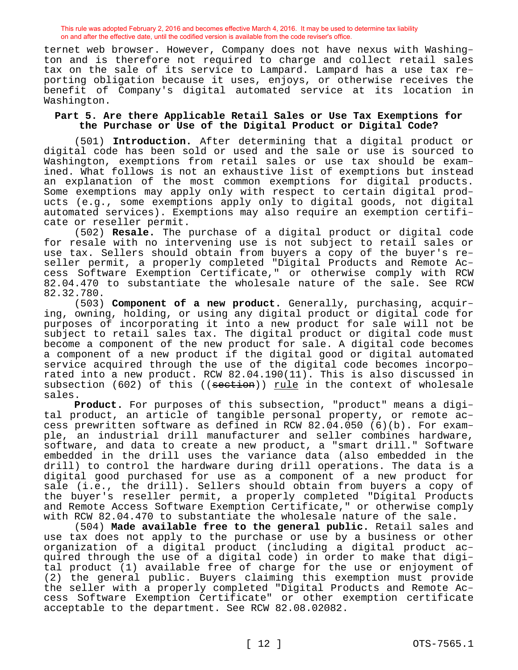ternet web browser. However, Company does not have nexus with Washington and is therefore not required to charge and collect retail sales tax on the sale of its service to Lampard. Lampard has a use tax reporting obligation because it uses, enjoys, or otherwise receives the benefit of Company's digital automated service at its location in Washington.

#### **Part 5. Are there Applicable Retail Sales or Use Tax Exemptions for the Purchase or Use of the Digital Product or Digital Code?**

(501) **Introduction.** After determining that a digital product or digital code has been sold or used and the sale or use is sourced to Washington, exemptions from retail sales or use tax should be examined. What follows is not an exhaustive list of exemptions but instead an explanation of the most common exemptions for digital products. Some exemptions may apply only with respect to certain digital products (e.g., some exemptions apply only to digital goods, not digital automated services). Exemptions may also require an exemption certificate or reseller permit.

(502) **Resale.** The purchase of a digital product or digital code for resale with no intervening use is not subject to retail sales or use tax. Sellers should obtain from buyers a copy of the buyer's reseller permit, a properly completed "Digital Products and Remote Access Software Exemption Certificate," or otherwise comply with RCW 82.04.470 to substantiate the wholesale nature of the sale. See RCW 82.32.780.

(503) **Component of a new product.** Generally, purchasing, acquiring, owning, holding, or using any digital product or digital code for purposes of incorporating it into a new product for sale will not be subject to retail sales tax. The digital product or digital code must become a component of the new product for sale. A digital code becomes a component of a new product if the digital good or digital automated service acquired through the use of the digital code becomes incorporated into a new product. RCW 82.04.190(11). This is also discussed in subsection (602) of this ((section)) rule in the context of wholesale sales.

**Product.** For purposes of this subsection, "product" means a digital product, an article of tangible personal property, or remote access prewritten software as defined in RCW 82.04.050 (6)(b). For example, an industrial drill manufacturer and seller combines hardware, software, and data to create a new product, a "smart drill." Software embedded in the drill uses the variance data (also embedded in the drill) to control the hardware during drill operations. The data is a digital good purchased for use as a component of a new product for sale (i.e., the drill). Sellers should obtain from buyers a copy of the buyer's reseller permit, a properly completed "Digital Products and Remote Access Software Exemption Certificate," or otherwise comply with RCW 82.04.470 to substantiate the wholesale nature of the sale.

(504) **Made available free to the general public.** Retail sales and use tax does not apply to the purchase or use by a business or other organization of a digital product (including a digital product acquired through the use of a digital code) in order to make that digital product (1) available free of charge for the use or enjoyment of (2) the general public. Buyers claiming this exemption must provide the seller with a properly completed "Digital Products and Remote Access Software Exemption Certificate" or other exemption certificate acceptable to the department. See RCW 82.08.02082.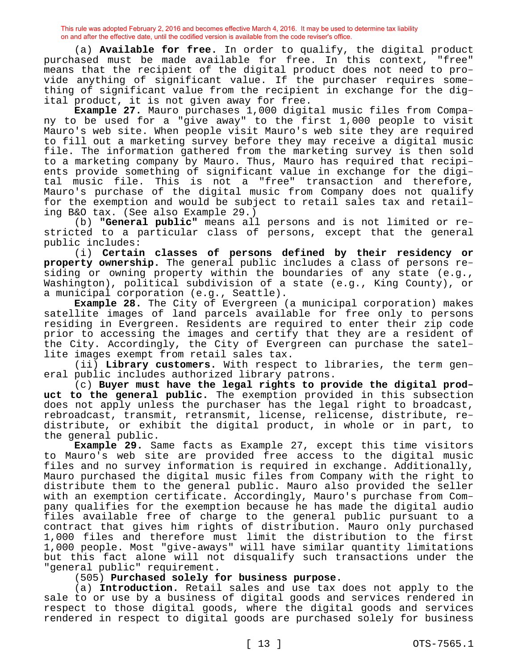(a) **Available for free.** In order to qualify, the digital product purchased must be made available for free. In this context, "free" means that the recipient of the digital product does not need to provide anything of significant value. If the purchaser requires something of significant value from the recipient in exchange for the digital product, it is not given away for free.

**Example 27.** Mauro purchases 1,000 digital music files from Company to be used for a "give away" to the first 1,000 people to visit Mauro's web site. When people visit Mauro's web site they are required to fill out a marketing survey before they may receive a digital music file. The information gathered from the marketing survey is then sold to a marketing company by Mauro. Thus, Mauro has required that recipients provide something of significant value in exchange for the digital music file. This is not a "free" transaction and therefore, Mauro's purchase of the digital music from Company does not qualify for the exemption and would be subject to retail sales tax and retailing B&O tax. (See also Example 29.)

(b) **"General public"** means all persons and is not limited or restricted to a particular class of persons, except that the general public includes:

(i) **Certain classes of persons defined by their residency or property ownership.** The general public includes a class of persons residing or owning property within the boundaries of any state (e.g., Washington), political subdivision of a state (e.g., King County), or a municipal corporation (e.g., Seattle).

**Example 28.** The City of Evergreen (a municipal corporation) makes satellite images of land parcels available for free only to persons residing in Evergreen. Residents are required to enter their zip code prior to accessing the images and certify that they are a resident of the City. Accordingly, the City of Evergreen can purchase the satellite images exempt from retail sales tax.

(ii) **Library customers.** With respect to libraries, the term general public includes authorized library patrons.

(c) **Buyer must have the legal rights to provide the digital product to the general public.** The exemption provided in this subsection does not apply unless the purchaser has the legal right to broadcast, rebroadcast, transmit, retransmit, license, relicense, distribute, redistribute, or exhibit the digital product, in whole or in part, to the general public.

**Example 29.** Same facts as Example 27, except this time visitors to Mauro's web site are provided free access to the digital music files and no survey information is required in exchange. Additionally, Mauro purchased the digital music files from Company with the right to distribute them to the general public. Mauro also provided the seller with an exemption certificate. Accordingly, Mauro's purchase from Company qualifies for the exemption because he has made the digital audio files available free of charge to the general public pursuant to a contract that gives him rights of distribution. Mauro only purchased 1,000 files and therefore must limit the distribution to the first 1,000 people. Most "give-aways" will have similar quantity limitations but this fact alone will not disqualify such transactions under the "general public" requirement.

(505) **Purchased solely for business purpose.**

(a) **Introduction.** Retail sales and use tax does not apply to the sale to or use by a business of digital goods and services rendered in respect to those digital goods, where the digital goods and services rendered in respect to digital goods are purchased solely for business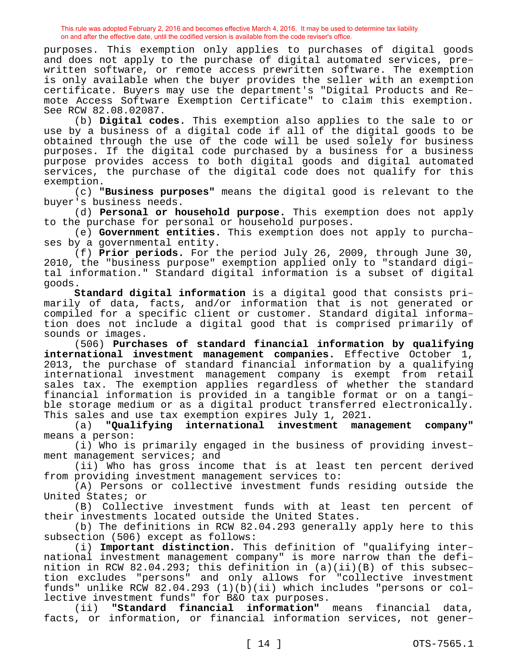purposes. This exemption only applies to purchases of digital goods and does not apply to the purchase of digital automated services, prewritten software, or remote access prewritten software. The exemption is only available when the buyer provides the seller with an exemption certificate. Buyers may use the department's "Digital Products and Remote Access Software Exemption Certificate" to claim this exemption. See RCW 82.08.02087.

(b) **Digital codes.** This exemption also applies to the sale to or use by a business of a digital code if all of the digital goods to be obtained through the use of the code will be used solely for business purposes. If the digital code purchased by a business for a business purpose provides access to both digital goods and digital automated services, the purchase of the digital code does not qualify for this exemption.

(c) **"Business purposes"** means the digital good is relevant to the buyer's business needs.

(d) **Personal or household purpose.** This exemption does not apply to the purchase for personal or household purposes.

(e) **Government entities.** This exemption does not apply to purchases by a governmental entity.

(f) **Prior periods.** For the period July 26, 2009, through June 30, 2010, the "business purpose" exemption applied only to "standard digital information." Standard digital information is a subset of digital goods.

**Standard digital information** is a digital good that consists primarily of data, facts, and/or information that is not generated or compiled for a specific client or customer. Standard digital information does not include a digital good that is comprised primarily of sounds or images.

(506) **Purchases of standard financial information by qualifying international investment management companies.** Effective October 1, 2013, the purchase of standard financial information by a qualifying international investment management company is exempt from retail sales tax. The exemption applies regardless of whether the standard financial information is provided in a tangible format or on a tangible storage medium or as a digital product transferred electronically. This sales and use tax exemption expires July 1, 2021.

(a) **"Qualifying international investment management company"**  means a person:

(i) Who is primarily engaged in the business of providing investment management services; and

(ii) Who has gross income that is at least ten percent derived from providing investment management services to:

(A) Persons or collective investment funds residing outside the United States; or

(B) Collective investment funds with at least ten percent of their investments located outside the United States.

(b) The definitions in RCW 82.04.293 generally apply here to this subsection (506) except as follows:

(i) **Important distinction.** This definition of "qualifying international investment management company" is more narrow than the definition in RCW 82.04.293; this definition in (a)(ii)(B) of this subsection excludes "persons" and only allows for "collective investment funds" unlike RCW 82.04.293 (1)(b)(ii) which includes "persons or collective investment funds" for B&O tax purposes.

(ii) **"Standard financial information"** means financial data, facts, or information, or financial information services, not gener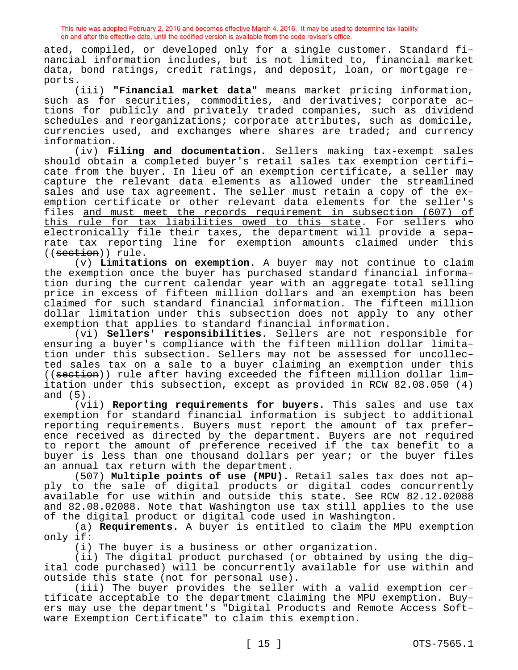ated, compiled, or developed only for a single customer. Standard financial information includes, but is not limited to, financial market data, bond ratings, credit ratings, and deposit, loan, or mortgage reports.

(iii) **"Financial market data"** means market pricing information, such as for securities, commodities, and derivatives; corporate actions for publicly and privately traded companies, such as dividend schedules and reorganizations; corporate attributes, such as domicile, currencies used, and exchanges where shares are traded; and currency information.

(iv) **Filing and documentation.** Sellers making tax-exempt sales should obtain a completed buyer's retail sales tax exemption certificate from the buyer. In lieu of an exemption certificate, a seller may capture the relevant data elements as allowed under the streamlined sales and use tax agreement. The seller must retain a copy of the exemption certificate or other relevant data elements for the seller's files and must meet the records requirement in subsection (607) of this rule for tax liabilities owed to this state. For sellers who electronically file their taxes, the department will provide a separate tax reporting line for exemption amounts claimed under this ((section)) rule.

(v) **Limitations on exemption.** A buyer may not continue to claim the exemption once the buyer has purchased standard financial information during the current calendar year with an aggregate total selling price in excess of fifteen million dollars and an exemption has been claimed for such standard financial information. The fifteen million dollar limitation under this subsection does not apply to any other exemption that applies to standard financial information.

(vi) **Sellers' responsibilities.** Sellers are not responsible for ensuring a buyer's compliance with the fifteen million dollar limitation under this subsection. Sellers may not be assessed for uncollected sales tax on a sale to a buyer claiming an exemption under this ((section)) rule after having exceeded the fifteen million dollar limitation under this subsection, except as provided in RCW 82.08.050 (4) and (5).

(vii) **Reporting requirements for buyers.** This sales and use tax exemption for standard financial information is subject to additional reporting requirements. Buyers must report the amount of tax preference received as directed by the department. Buyers are not required to report the amount of preference received if the tax benefit to a buyer is less than one thousand dollars per year; or the buyer files an annual tax return with the department.

(507) **Multiple points of use (MPU).** Retail sales tax does not apply to the sale of digital products or digital codes concurrently available for use within and outside this state. See RCW 82.12.02088 and 82.08.02088. Note that Washington use tax still applies to the use of the digital product or digital code used in Washington.

(a) **Requirements.** A buyer is entitled to claim the MPU exemption only if:

(i) The buyer is a business or other organization.

(ii) The digital product purchased (or obtained by using the digital code purchased) will be concurrently available for use within and outside this state (not for personal use).

(iii) The buyer provides the seller with a valid exemption certificate acceptable to the department claiming the MPU exemption. Buyers may use the department's "Digital Products and Remote Access Software Exemption Certificate" to claim this exemption.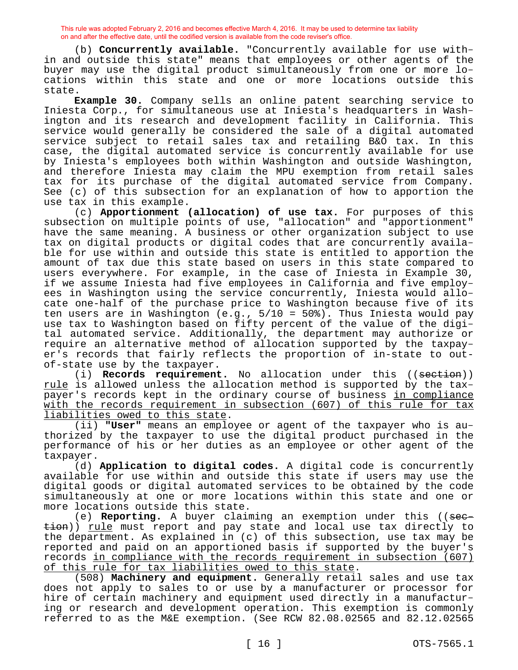(b) **Concurrently available.** "Concurrently available for use within and outside this state" means that employees or other agents of the buyer may use the digital product simultaneously from one or more locations within this state and one or more locations outside this state.

**Example 30.** Company sells an online patent searching service to Iniesta Corp., for simultaneous use at Iniesta's headquarters in Washington and its research and development facility in California. This service would generally be considered the sale of a digital automated service subject to retail sales tax and retailing B&O tax. In this case, the digital automated service is concurrently available for use by Iniesta's employees both within Washington and outside Washington, and therefore Iniesta may claim the MPU exemption from retail sales tax for its purchase of the digital automated service from Company. See (c) of this subsection for an explanation of how to apportion the use tax in this example.

(c) **Apportionment (allocation) of use tax.** For purposes of this subsection on multiple points of use, "allocation" and "apportionment" have the same meaning. A business or other organization subject to use tax on digital products or digital codes that are concurrently available for use within and outside this state is entitled to apportion the amount of tax due this state based on users in this state compared to users everywhere. For example, in the case of Iniesta in Example 30, if we assume Iniesta had five employees in California and five employees in Washington using the service concurrently, Iniesta would allocate one-half of the purchase price to Washington because five of its ten users are in Washington (e.g., 5/10 = 50%). Thus Iniesta would pay use tax to Washington based on fifty percent of the value of the digital automated service. Additionally, the department may authorize or require an alternative method of allocation supported by the taxpayer's records that fairly reflects the proportion of in-state to outof-state use by the taxpayer.

(i) **Records requirement.** No allocation under this ((section)) rule is allowed unless the allocation method is supported by the taxpayer's records kept in the ordinary course of business in compliance with the records requirement in subsection (607) of this rule for tax liabilities owed to this state.

(ii) **"User"** means an employee or agent of the taxpayer who is authorized by the taxpayer to use the digital product purchased in the performance of his or her duties as an employee or other agent of the taxpayer.

(d) **Application to digital codes.** A digital code is concurrently available for use within and outside this state if users may use the digital goods or digital automated services to be obtained by the code simultaneously at one or more locations within this state and one or more locations outside this state.

(e) **Reporting.** A buyer claiming an exemption under this ((see $t$ ion)) rule must report and pay state and local use tax directly to the department. As explained in (c) of this subsection, use tax may be reported and paid on an apportioned basis if supported by the buyer's records in compliance with the records requirement in subsection (607) of this rule for tax liabilities owed to this state.

(508) **Machinery and equipment.** Generally retail sales and use tax does not apply to sales to or use by a manufacturer or processor for hire of certain machinery and equipment used directly in a manufacturing or research and development operation. This exemption is commonly referred to as the M&E exemption. (See RCW 82.08.02565 and 82.12.02565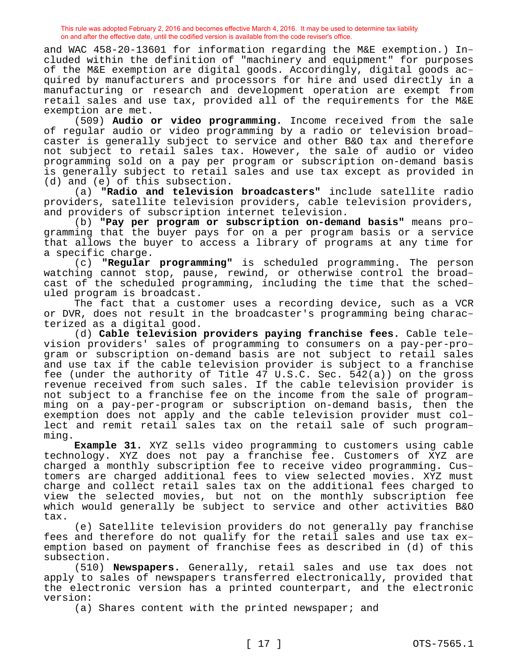and WAC 458-20-13601 for information regarding the M&E exemption.) Included within the definition of "machinery and equipment" for purposes of the M&E exemption are digital goods. Accordingly, digital goods acquired by manufacturers and processors for hire and used directly in a manufacturing or research and development operation are exempt from retail sales and use tax, provided all of the requirements for the M&E exemption are met.

(509) **Audio or video programming.** Income received from the sale of regular audio or video programming by a radio or television broadcaster is generally subject to service and other B&O tax and therefore not subject to retail sales tax. However, the sale of audio or video programming sold on a pay per program or subscription on-demand basis is generally subject to retail sales and use tax except as provided in (d) and (e) of this subsection.

(a) **"Radio and television broadcasters"** include satellite radio providers, satellite television providers, cable television providers, and providers of subscription internet television.

(b) **"Pay per program or subscription on-demand basis"** means programming that the buyer pays for on a per program basis or a service that allows the buyer to access a library of programs at any time for a specific charge.

(c) **"Regular programming"** is scheduled programming. The person watching cannot stop, pause, rewind, or otherwise control the broadcast of the scheduled programming, including the time that the scheduled program is broadcast.

The fact that a customer uses a recording device, such as a VCR or DVR, does not result in the broadcaster's programming being characterized as a digital good.

(d) **Cable television providers paying franchise fees.** Cable television providers' sales of programming to consumers on a pay-per-program or subscription on-demand basis are not subject to retail sales and use tax if the cable television provider is subject to a franchise fee (under the authority of Title  $47$  U.S.C. Sec.  $542(a)$ ) on the gross revenue received from such sales. If the cable television provider is not subject to a franchise fee on the income from the sale of programming on a pay-per-program or subscription on-demand basis, then the exemption does not apply and the cable television provider must collect and remit retail sales tax on the retail sale of such programming.

**Example 31.** XYZ sells video programming to customers using cable technology. XYZ does not pay a franchise fee. Customers of XYZ are charged a monthly subscription fee to receive video programming. Customers are charged additional fees to view selected movies. XYZ must charge and collect retail sales tax on the additional fees charged to view the selected movies, but not on the monthly subscription fee which would generally be subject to service and other activities B&O tax.

(e) Satellite television providers do not generally pay franchise fees and therefore do not qualify for the retail sales and use tax exemption based on payment of franchise fees as described in (d) of this subsection.

(510) **Newspapers.** Generally, retail sales and use tax does not apply to sales of newspapers transferred electronically, provided that the electronic version has a printed counterpart, and the electronic version:

(a) Shares content with the printed newspaper; and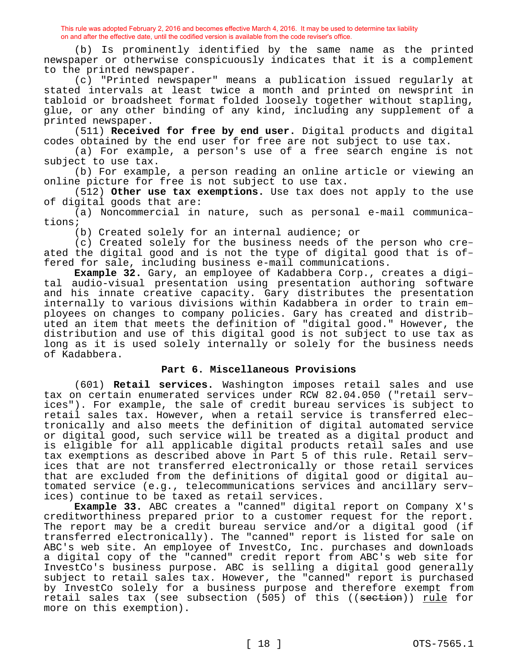(b) Is prominently identified by the same name as the printed newspaper or otherwise conspicuously indicates that it is a complement to the printed newspaper.

(c) "Printed newspaper" means a publication issued regularly at stated intervals at least twice a month and printed on newsprint in tabloid or broadsheet format folded loosely together without stapling, glue, or any other binding of any kind, including any supplement of a printed newspaper.

(511) **Received for free by end user.** Digital products and digital codes obtained by the end user for free are not subject to use tax.

(a) For example, a person's use of a free search engine is not subject to use tax.

(b) For example, a person reading an online article or viewing an online picture for free is not subject to use tax.

(512) **Other use tax exemptions.** Use tax does not apply to the use of digital goods that are:

(a) Noncommercial in nature, such as personal e-mail communications;

(b) Created solely for an internal audience; or

(c) Created solely for the business needs of the person who created the digital good and is not the type of digital good that is offered for sale, including business e-mail communications.

**Example 32.** Gary, an employee of Kadabbera Corp., creates a digital audio-visual presentation using presentation authoring software and his innate creative capacity. Gary distributes the presentation internally to various divisions within Kadabbera in order to train employees on changes to company policies. Gary has created and distributed an item that meets the definition of "digital good." However, the distribution and use of this digital good is not subject to use tax as long as it is used solely internally or solely for the business needs of Kadabbera.

## **Part 6. Miscellaneous Provisions**

(601) **Retail services.** Washington imposes retail sales and use tax on certain enumerated services under RCW 82.04.050 ("retail services"). For example, the sale of credit bureau services is subject to retail sales tax. However, when a retail service is transferred electronically and also meets the definition of digital automated service or digital good, such service will be treated as a digital product and is eligible for all applicable digital products retail sales and use tax exemptions as described above in Part 5 of this rule. Retail services that are not transferred electronically or those retail services that are excluded from the definitions of digital good or digital automated service (e.g., telecommunications services and ancillary services) continue to be taxed as retail services.

**Example 33.** ABC creates a "canned" digital report on Company X's creditworthiness prepared prior to a customer request for the report. The report may be a credit bureau service and/or a digital good (if transferred electronically). The "canned" report is listed for sale on ABC's web site. An employee of InvestCo, Inc. purchases and downloads a digital copy of the "canned" credit report from ABC's web site for InvestCo's business purpose. ABC is selling a digital good generally subject to retail sales tax. However, the "canned" report is purchased by InvestCo solely for a business purpose and therefore exempt from retail sales tax (see subsection  $(505)$  of this ((section)) rule for more on this exemption).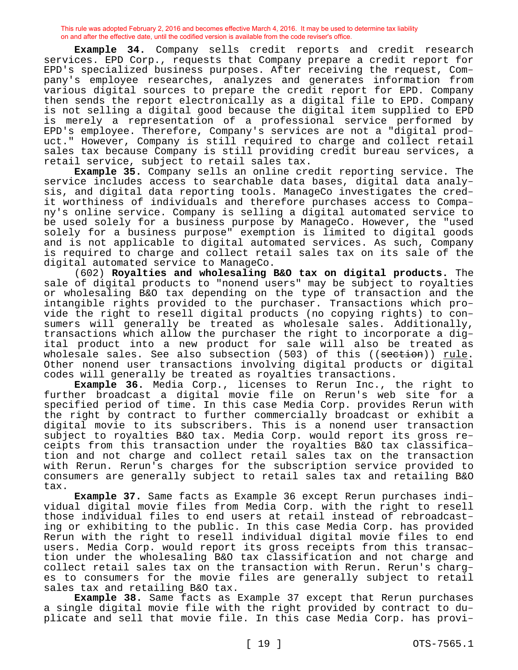**Example 34.** Company sells credit reports and credit research services. EPD Corp., requests that Company prepare a credit report for EPD's specialized business purposes. After receiving the request, Company's employee researches, analyzes and generates information from various digital sources to prepare the credit report for EPD. Company then sends the report electronically as a digital file to EPD. Company is not selling a digital good because the digital item supplied to EPD is merely a representation of a professional service performed by EPD's employee. Therefore, Company's services are not a "digital product." However, Company is still required to charge and collect retail sales tax because Company is still providing credit bureau services, a retail service, subject to retail sales tax.

**Example 35.** Company sells an online credit reporting service. The service includes access to searchable data bases, digital data analysis, and digital data reporting tools. ManageCo investigates the credit worthiness of individuals and therefore purchases access to Company's online service. Company is selling a digital automated service to be used solely for a business purpose by ManageCo. However, the "used solely for a business purpose" exemption is limited to digital goods and is not applicable to digital automated services. As such, Company is required to charge and collect retail sales tax on its sale of the digital automated service to ManageCo.

(602) **Royalties and wholesaling B&O tax on digital products.** The sale of digital products to "nonend users" may be subject to royalties or wholesaling B&O tax depending on the type of transaction and the intangible rights provided to the purchaser. Transactions which provide the right to resell digital products (no copying rights) to consumers will generally be treated as wholesale sales. Additionally, transactions which allow the purchaser the right to incorporate a digital product into a new product for sale will also be treated as wholesale sales. See also subsection  $(503)$  of this  $((\text{section}))$  rule. Other nonend user transactions involving digital products or digital codes will generally be treated as royalties transactions.

**Example 36.** Media Corp., licenses to Rerun Inc., the right to further broadcast a digital movie file on Rerun's web site for a specified period of time. In this case Media Corp. provides Rerun with the right by contract to further commercially broadcast or exhibit a digital movie to its subscribers. This is a nonend user transaction subject to royalties B&O tax. Media Corp. would report its gross receipts from this transaction under the royalties B&O tax classification and not charge and collect retail sales tax on the transaction with Rerun. Rerun's charges for the subscription service provided to consumers are generally subject to retail sales tax and retailing B&O tax.

**Example 37.** Same facts as Example 36 except Rerun purchases individual digital movie files from Media Corp. with the right to resell those individual files to end users at retail instead of rebroadcasting or exhibiting to the public. In this case Media Corp. has provided Rerun with the right to resell individual digital movie files to end users. Media Corp. would report its gross receipts from this transaction under the wholesaling B&O tax classification and not charge and collect retail sales tax on the transaction with Rerun. Rerun's charges to consumers for the movie files are generally subject to retail sales tax and retailing B&O tax.

**Example 38.** Same facts as Example 37 except that Rerun purchases a single digital movie file with the right provided by contract to duplicate and sell that movie file. In this case Media Corp. has provi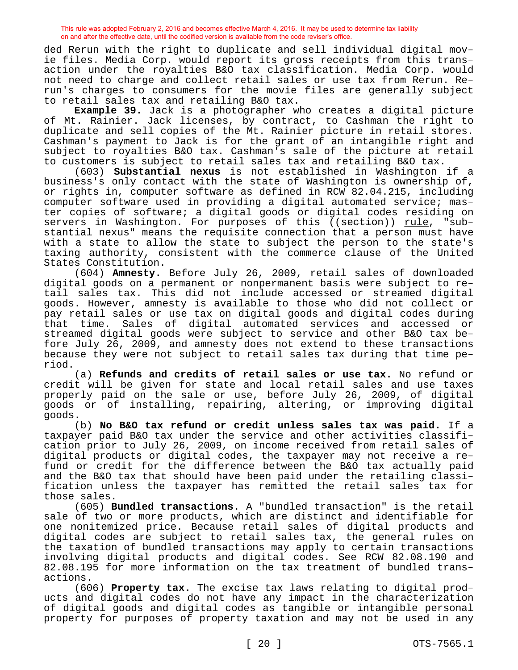ded Rerun with the right to duplicate and sell individual digital movie files. Media Corp. would report its gross receipts from this transaction under the royalties B&O tax classification. Media Corp. would not need to charge and collect retail sales or use tax from Rerun. Rerun's charges to consumers for the movie files are generally subject to retail sales tax and retailing B&O tax.

**Example 39.** Jack is a photographer who creates a digital picture of Mt. Rainier. Jack licenses, by contract, to Cashman the right to duplicate and sell copies of the Mt. Rainier picture in retail stores. Cashman's payment to Jack is for the grant of an intangible right and subject to royalties B&O tax. Cashman's sale of the picture at retail to customers is subject to retail sales tax and retailing B&O tax.

(603) **Substantial nexus** is not established in Washington if a business's only contact with the state of Washington is ownership of, or rights in, computer software as defined in RCW 82.04.215, including computer software used in providing a digital automated service; master copies of software; a digital goods or digital codes residing on servers in Washington. For purposes of this ((section)) rule, "substantial nexus" means the requisite connection that a person must have with a state to allow the state to subject the person to the state's taxing authority, consistent with the commerce clause of the United States Constitution.

(604) **Amnesty.** Before July 26, 2009, retail sales of downloaded digital goods on a permanent or nonpermanent basis were subject to retail sales tax. This did not include accessed or streamed digital goods. However, amnesty is available to those who did not collect or pay retail sales or use tax on digital goods and digital codes during that time. Sales of digital automated services and accessed or streamed digital goods were subject to service and other B&O tax before July 26, 2009, and amnesty does not extend to these transactions because they were not subject to retail sales tax during that time period.

(a) **Refunds and credits of retail sales or use tax.** No refund or credit will be given for state and local retail sales and use taxes properly paid on the sale or use, before July 26, 2009, of digital goods or of installing, repairing, altering, or improving digital goods.

(b) **No B&O tax refund or credit unless sales tax was paid.** If a taxpayer paid B&O tax under the service and other activities classification prior to July 26, 2009, on income received from retail sales of digital products or digital codes, the taxpayer may not receive a refund or credit for the difference between the B&O tax actually paid and the B&O tax that should have been paid under the retailing classification unless the taxpayer has remitted the retail sales tax for those sales.

(605) **Bundled transactions.** A "bundled transaction" is the retail sale of two or more products, which are distinct and identifiable for one nonitemized price. Because retail sales of digital products and digital codes are subject to retail sales tax, the general rules on the taxation of bundled transactions may apply to certain transactions involving digital products and digital codes. See RCW 82.08.190 and 82.08.195 for more information on the tax treatment of bundled transactions.

(606) **Property tax.** The excise tax laws relating to digital products and digital codes do not have any impact in the characterization of digital goods and digital codes as tangible or intangible personal property for purposes of property taxation and may not be used in any